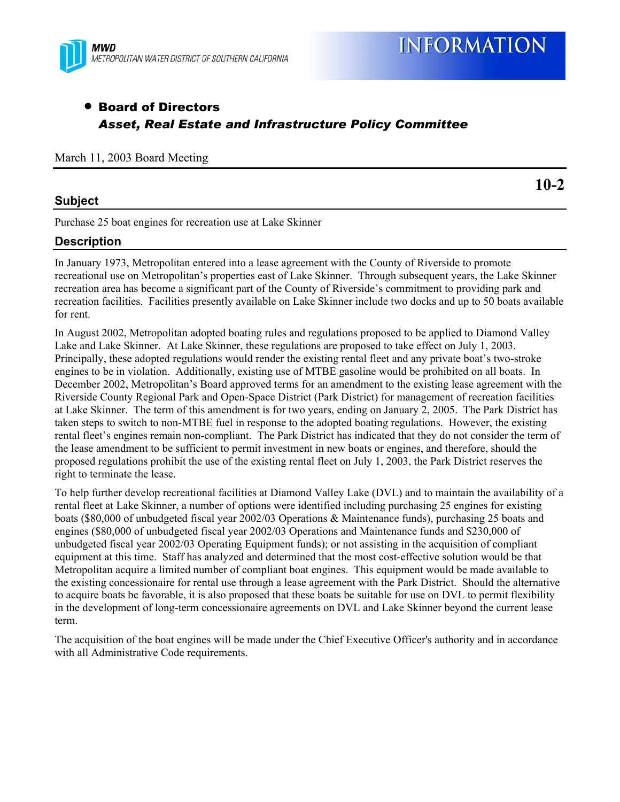

# • Board of Directors *Asset, Real Estate and Infrastructure Policy Committee*

March 11, 2003 Board Meeting

## **Subject**

**10-2**

Purchase 25 boat engines for recreation use at Lake Skinner

## **Description**

In January 1973, Metropolitan entered into a lease agreement with the County of Riverside to promote recreational use on Metropolitan's properties east of Lake Skinner. Through subsequent years, the Lake Skinner recreation area has become a significant part of the County of Riverside's commitment to providing park and recreation facilities. Facilities presently available on Lake Skinner include two docks and up to 50 boats available for rent.

In August 2002, Metropolitan adopted boating rules and regulations proposed to be applied to Diamond Valley Lake and Lake Skinner. At Lake Skinner, these regulations are proposed to take effect on July 1, 2003. Principally, these adopted regulations would render the existing rental fleet and any private boat's two-stroke engines to be in violation. Additionally, existing use of MTBE gasoline would be prohibited on all boats. In December 2002, Metropolitan's Board approved terms for an amendment to the existing lease agreement with the Riverside County Regional Park and Open-Space District (Park District) for management of recreation facilities at Lake Skinner. The term of this amendment is for two years, ending on January 2, 2005. The Park District has taken steps to switch to non-MTBE fuel in response to the adopted boating regulations. However, the existing rental fleet's engines remain non-compliant. The Park District has indicated that they do not consider the term of the lease amendment to be sufficient to permit investment in new boats or engines, and therefore, should the proposed regulations prohibit the use of the existing rental fleet on July 1, 2003, the Park District reserves the right to terminate the lease.

To help further develop recreational facilities at Diamond Valley Lake (DVL) and to maintain the availability of a rental fleet at Lake Skinner, a number of options were identified including purchasing 25 engines for existing boats (\$80,000 of unbudgeted fiscal year 2002/03 Operations & Maintenance funds), purchasing 25 boats and engines (\$80,000 of unbudgeted fiscal year 2002/03 Operations and Maintenance funds and \$230,000 of unbudgeted fiscal year 2002/03 Operating Equipment funds); or not assisting in the acquisition of compliant equipment at this time. Staff has analyzed and determined that the most cost-effective solution would be that Metropolitan acquire a limited number of compliant boat engines. This equipment would be made available to the existing concessionaire for rental use through a lease agreement with the Park District. Should the alternative to acquire boats be favorable, it is also proposed that these boats be suitable for use on DVL to permit flexibility in the development of long-term concessionaire agreements on DVL and Lake Skinner beyond the current lease term.

The acquisition of the boat engines will be made under the Chief Executive Officer's authority and in accordance with all Administrative Code requirements.